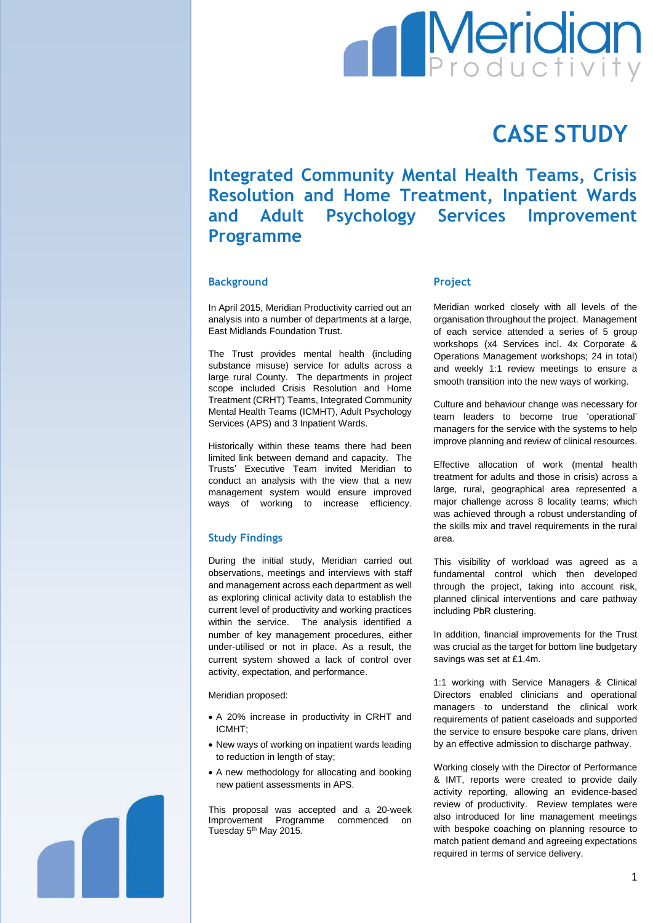# **Meridian**

# **CASE STUDY**

**Integrated Community Mental Health Teams, Crisis Resolution and Home Treatment, Inpatient Wards and Adult Psychology Services Improvement Programme**

### **Background**

In April 2015, Meridian Productivity carried out an analysis into a number of departments at a large, East Midlands Foundation Trust.

The Trust provides mental health (including substance misuse) service for adults across a large rural County. The departments in project scope included Crisis Resolution and Home Treatment (CRHT) Teams, Integrated Community Mental Health Teams (ICMHT), Adult Psychology Services (APS) and 3 Inpatient Wards.

Historically within these teams there had been limited link between demand and capacity. The Trusts' Executive Team invited Meridian to conduct an analysis with the view that a new management system would ensure improved ways of working to increase efficiency.

# **Study Findings**

During the initial study, Meridian carried out observations, meetings and interviews with staff and management across each department as well as exploring clinical activity data to establish the current level of productivity and working practices within the service. The analysis identified a number of key management procedures, either under-utilised or not in place. As a result, the current system showed a lack of control over activity, expectation, and performance.

Meridian proposed:

- A 20% increase in productivity in CRHT and ICMHT;
- New ways of working on inpatient wards leading to reduction in length of stay;
- A new methodology for allocating and booking new patient assessments in APS.

This proposal was accepted and a 20-week Improvement Programme commenced on Tuesday 5<sup>th</sup> May 2015.

### **Project**

Meridian worked closely with all levels of the organisation throughout the project. Management of each service attended a series of 5 group workshops (x4 Services incl. 4x Corporate & Operations Management workshops; 24 in total) and weekly 1:1 review meetings to ensure a smooth transition into the new ways of working.

Culture and behaviour change was necessary for team leaders to become true 'operational' managers for the service with the systems to help improve planning and review of clinical resources.

Effective allocation of work (mental health treatment for adults and those in crisis) across a large, rural, geographical area represented a major challenge across 8 locality teams; which was achieved through a robust understanding of the skills mix and travel requirements in the rural area.

This visibility of workload was agreed as a fundamental control which then developed through the project, taking into account risk, planned clinical interventions and care pathway including PbR clustering.

In addition, financial improvements for the Trust was crucial as the target for bottom line budgetary savings was set at £1.4m.

1:1 working with Service Managers & Clinical Directors enabled clinicians and operational managers to understand the clinical work requirements of patient caseloads and supported the service to ensure bespoke care plans, driven by an effective admission to discharge pathway.

Working closely with the Director of Performance & IMT, reports were created to provide daily activity reporting, allowing an evidence-based review of productivity. Review templates were also introduced for line management meetings with bespoke coaching on planning resource to match patient demand and agreeing expectations required in terms of service delivery.